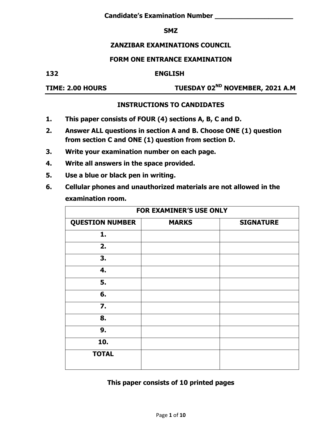#### **SMZ**

## **ZANZIBAR EXAMINATIONS COUNCIL**

#### **FORM ONE ENTRANCE EXAMINATION**

#### **132 ENGLISH**

**TIME: 2.00 HOURS TUESDAY 02ND NOVEMBER, 2021 A.M**

#### **INSTRUCTIONS TO CANDIDATES**

- **1. This paper consists of FOUR (4) sections A, B, C and D.**
- **2. Answer ALL questions in section A and B. Choose ONE (1) question from section C and ONE (1) question from section D.**
- **3. Write your examination number on each page.**
- **4. Write all answers in the space provided.**
- **5. Use a blue or black pen in writing.**
- **6. Cellular phones and unauthorized materials are not allowed in the examination room.**

| <b>FOR EXAMINER'S USE ONLY</b> |              |                  |  |
|--------------------------------|--------------|------------------|--|
| <b>QUESTION NUMBER</b>         | <b>MARKS</b> | <b>SIGNATURE</b> |  |
| 1.                             |              |                  |  |
| 2.                             |              |                  |  |
| 3.                             |              |                  |  |
| 4.                             |              |                  |  |
| 5.                             |              |                  |  |
| 6.                             |              |                  |  |
| $\mathbf{Z}$ .                 |              |                  |  |
| 8.                             |              |                  |  |
| 9.                             |              |                  |  |
| 10.                            |              |                  |  |
| <b>TOTAL</b>                   |              |                  |  |

### **This paper consists of 10 printed pages**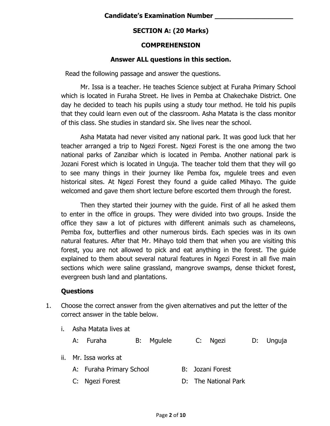# **SECTION A: (20 Marks)**

## **COMPREHENSION**

## **Answer ALL questions in this section.**

Read the following passage and answer the questions.

Mr. Issa is a teacher. He teaches Science subject at Furaha Primary School which is located in Furaha Street. He lives in Pemba at Chakechake District. One day he decided to teach his pupils using a study tour method. He told his pupils that they could learn even out of the classroom. Asha Matata is the class monitor of this class. She studies in standard six. She lives near the school.

Asha Matata had never visited any national park. It was good luck that her teacher arranged a trip to Ngezi Forest. Ngezi Forest is the one among the two national parks of Zanzibar which is located in Pemba. Another national park is Jozani Forest which is located in Unguja. The teacher told them that they will go to see many things in their journey like Pemba fox, mgulele trees and even historical sites. At Ngezi Forest they found a guide called Mihayo. The guide welcomed and gave them short lecture before escorted them through the forest.

Then they started their journey with the guide. First of all he asked them to enter in the office in groups. They were divided into two groups. Inside the office they saw a lot of pictures with different animals such as chameleons, Pemba fox, butterflies and other numerous birds. Each species was in its own natural features. After that Mr. Mihayo told them that when you are visiting this forest, you are not allowed to pick and eat anything in the forest. The guide explained to them about several natural features in Ngezi Forest in all five main sections which were saline grassland, mangrove swamps, dense thicket forest, evergreen bush land and plantations.

# **Questions**

- 1. Choose the correct answer from the given alternatives and put the letter of the correct answer in the table below.
	- i. Asha Matata lives at
		- A: Furaha B: Mgulele C: Ngezi D: Unguja
	- ii. Mr. Issa works at
		- A: Furaha Primary School B: Jozani Forest
		- C: Ngezi Forest **D:** D: The National Park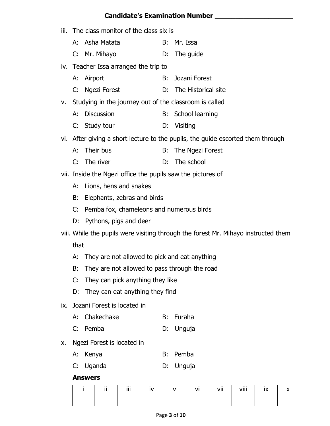## **Candidate's Examination Number \_\_\_\_\_\_\_\_\_\_\_\_\_\_\_\_\_\_\_**

iii. The class monitor of the class six is A: Asha Matata B: Mr. Issa C: Mr. Mihayo D: The guide iv. Teacher Issa arranged the trip to A: Airport B: Jozani Forest C: Ngezi Forest D: The Historical site v. Studying in the journey out of the classroom is called A: Discussion B: School learning C: Study tour D: Visiting vi. After giving a short lecture to the pupils, the guide escorted them through A: Their bus B: The Ngezi Forest C: The river D: The school vii. Inside the Ngezi office the pupils saw the pictures of A: Lions, hens and snakes B: Elephants, zebras and birds C: Pemba fox, chameleons and numerous birds D: Pythons, pigs and deer viii. While the pupils were visiting through the forest Mr. Mihayo instructed them that A: They are not allowed to pick and eat anything B: They are not allowed to pass through the road C: They can pick anything they like D: They can eat anything they find ix. Jozani Forest is located in A: Chakechake B: Furaha C: Pemba D: Unguja x. Ngezi Forest is located in A: Kenya B: Pemba C: Uganda D: Unguja **Answers**

|  | <br>. . | Ϊİİ |  | VI | .<br>Vİİ | viii | <b>IV</b><br>IΛ. |  |
|--|---------|-----|--|----|----------|------|------------------|--|
|  |         |     |  |    |          |      |                  |  |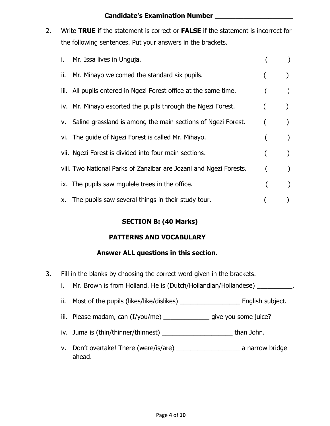### **Candidate's Examination Number \_\_\_\_\_\_\_\_\_\_\_\_\_\_\_\_\_\_\_**

2. Write **TRUE** if the statement is correct or **FALSE** if the statement is incorrect for the following sentences. Put your answers in the brackets.

|     | i. Mr. Issa lives in Unguja.                                       |  |
|-----|--------------------------------------------------------------------|--|
| ii. | Mr. Mihayo welcomed the standard six pupils.                       |  |
|     | iii. All pupils entered in Ngezi Forest office at the same time.   |  |
|     | iv. Mr. Mihayo escorted the pupils through the Ngezi Forest.       |  |
|     | v. Saline grassland is among the main sections of Ngezi Forest.    |  |
|     | vi. The guide of Ngezi Forest is called Mr. Mihayo.                |  |
|     | vii. Ngezi Forest is divided into four main sections.              |  |
|     | viii. Two National Parks of Zanzibar are Jozani and Ngezi Forests. |  |
|     | ix. The pupils saw mgulele trees in the office.                    |  |
|     | x. The pupils saw several things in their study tour.              |  |

# **SECTION B: (40 Marks)**

# **PATTERNS AND VOCABULARY**

# **Answer ALL questions in this section.**

- 3. Fill in the blanks by choosing the correct word given in the brackets.
	- i. Mr. Brown is from Holland. He is (Dutch/Hollandian/Hollandese) \_\_\_\_\_\_\_\_\_\_.
	- ii. Most of the pupils (likes/like/dislikes) \_\_\_\_\_\_\_\_\_\_\_\_\_\_\_\_\_\_\_\_\_\_ English subject.
	- iii. Please madam, can (I/you/me) \_\_\_\_\_\_\_\_\_\_\_\_\_\_\_\_ give you some juice?
	- iv. Juma is (thin/thinner/thinnest) \_\_\_\_\_\_\_\_\_\_\_\_\_\_\_\_\_\_\_\_\_\_\_\_\_\_\_\_\_\_than John.
	- v. Don't overtake! There (were/is/are) \_\_\_\_\_\_\_\_\_\_\_\_\_\_\_\_\_\_ a narrow bridge ahead.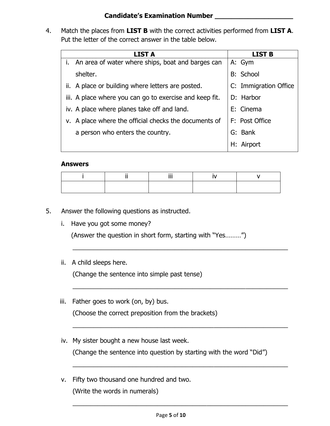## **Candidate's Examination Number \_\_\_\_\_\_\_\_\_\_\_\_\_\_\_\_\_\_\_**

4. Match the places from **LIST B** with the correct activities performed from **LIST A**. Put the letter of the correct answer in the table below.

| <b>LIST A</b>                                           | LIST B                |
|---------------------------------------------------------|-----------------------|
| An area of water where ships, boat and barges can       | A: Gym                |
| shelter.                                                | <b>B: School</b>      |
| ii. A place or building where letters are posted.       | C: Immigration Office |
| iii. A place where you can go to exercise and keep fit. | D: Harbor             |
| iv. A place where planes take off and land.             | E: Cinema             |
| v. A place where the official checks the documents of   | F: Post Office        |
| a person who enters the country.                        | G: Bank               |
|                                                         |                       |

#### **Answers**

\_\_\_\_\_\_\_\_\_\_\_\_\_\_\_\_\_\_\_\_\_\_\_\_\_\_\_\_\_\_\_\_\_\_\_\_\_\_\_\_\_\_\_\_\_\_\_\_\_\_\_\_\_\_\_\_\_\_\_\_\_

\_\_\_\_\_\_\_\_\_\_\_\_\_\_\_\_\_\_\_\_\_\_\_\_\_\_\_\_\_\_\_\_\_\_\_\_\_\_\_\_\_\_\_\_\_\_\_\_\_\_\_\_\_\_\_\_\_\_\_\_\_

\_\_\_\_\_\_\_\_\_\_\_\_\_\_\_\_\_\_\_\_\_\_\_\_\_\_\_\_\_\_\_\_\_\_\_\_\_\_\_\_\_\_\_\_\_\_\_\_\_\_\_\_\_\_\_\_\_\_\_\_\_

\_\_\_\_\_\_\_\_\_\_\_\_\_\_\_\_\_\_\_\_\_\_\_\_\_\_\_\_\_\_\_\_\_\_\_\_\_\_\_\_\_\_\_\_\_\_\_\_\_\_\_\_\_\_\_\_\_\_\_\_\_

\_\_\_\_\_\_\_\_\_\_\_\_\_\_\_\_\_\_\_\_\_\_\_\_\_\_\_\_\_\_\_\_\_\_\_\_\_\_\_\_\_\_\_\_\_\_\_\_\_\_\_\_\_\_\_\_\_\_\_\_\_

- 5. Answer the following questions as instructed.
	- i. Have you got some money?

(Answer the question in short form, starting with "Yes………")

ii. A child sleeps here.

(Change the sentence into simple past tense)

iii. Father goes to work (on, by) bus.

(Choose the correct preposition from the brackets)

iv. My sister bought a new house last week.

(Change the sentence into question by starting with the word "Did")

v. Fifty two thousand one hundred and two. (Write the words in numerals)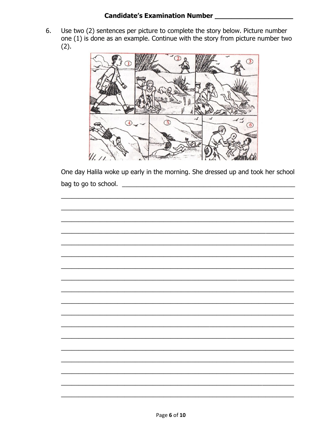### **Candidate's Examination Number** [188]

Use two (2) sentences per picture to complete the story below. Picture number 6. one (1) is done as an example. Continue with the story from picture number two  $(2).$ 



One day Halila woke up early in the morning. She dressed up and took her school bag to go to school.

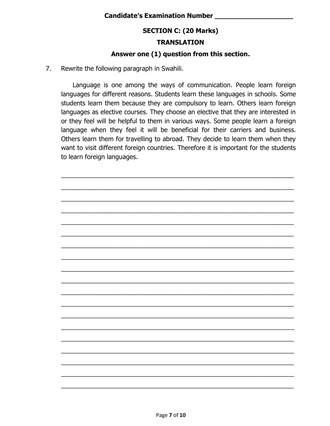## **SECTION C: (20 Marks)**

## **TRANSLATION**

## **Answer one (1) question from this section.**

7. Rewrite the following paragraph in Swahili.

Language is one among the ways of communication. People learn foreign languages for different reasons. Students learn these languages in schools. Some students learn them because they are compulsory to learn. Others learn foreign languages as elective courses. They choose an elective that they are interested in or they feel will be helpful to them in various ways. Some people learn a foreign language when they feel it will be beneficial for their carriers and business. Others learn them for travelling to abroad. They decide to learn them when they want to visit different foreign countries. Therefore it is important for the students to learn foreign languages.

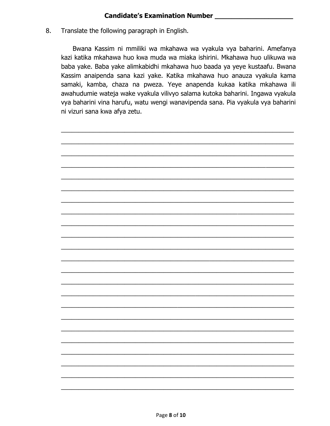Translate the following paragraph in English. 8.

> Bwana Kassim ni mmiliki wa mkahawa wa vyakula vya baharini. Amefanya kazi katika mkahawa huo kwa muda wa miaka ishirini. Mkahawa huo ulikuwa wa baba yake. Baba yake alimkabidhi mkahawa huo baada ya yeye kustaafu. Bwana Kassim anaipenda sana kazi yake. Katika mkahawa huo anauza vyakula kama samaki, kamba, chaza na pweza. Yeye anapenda kukaa katika mkahawa ili awahudumie wateja wake vyakula vilivyo salama kutoka baharini. Ingawa vyakula vya baharini vina harufu, watu wengi wanavipenda sana. Pia vyakula vya baharini ni vizuri sana kwa afya zetu.

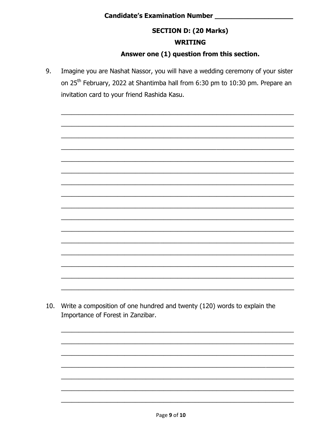# 

## **SECTION D: (20 Marks)**

### **WRITING**

## Answer one (1) question from this section.

Imagine you are Nashat Nassor, you will have a wedding ceremony of your sister 9. on 25<sup>th</sup> February, 2022 at Shantimba hall from 6:30 pm to 10:30 pm. Prepare an invitation card to your friend Rashida Kasu.

10. Write a composition of one hundred and twenty (120) words to explain the Importance of Forest in Zanzibar.